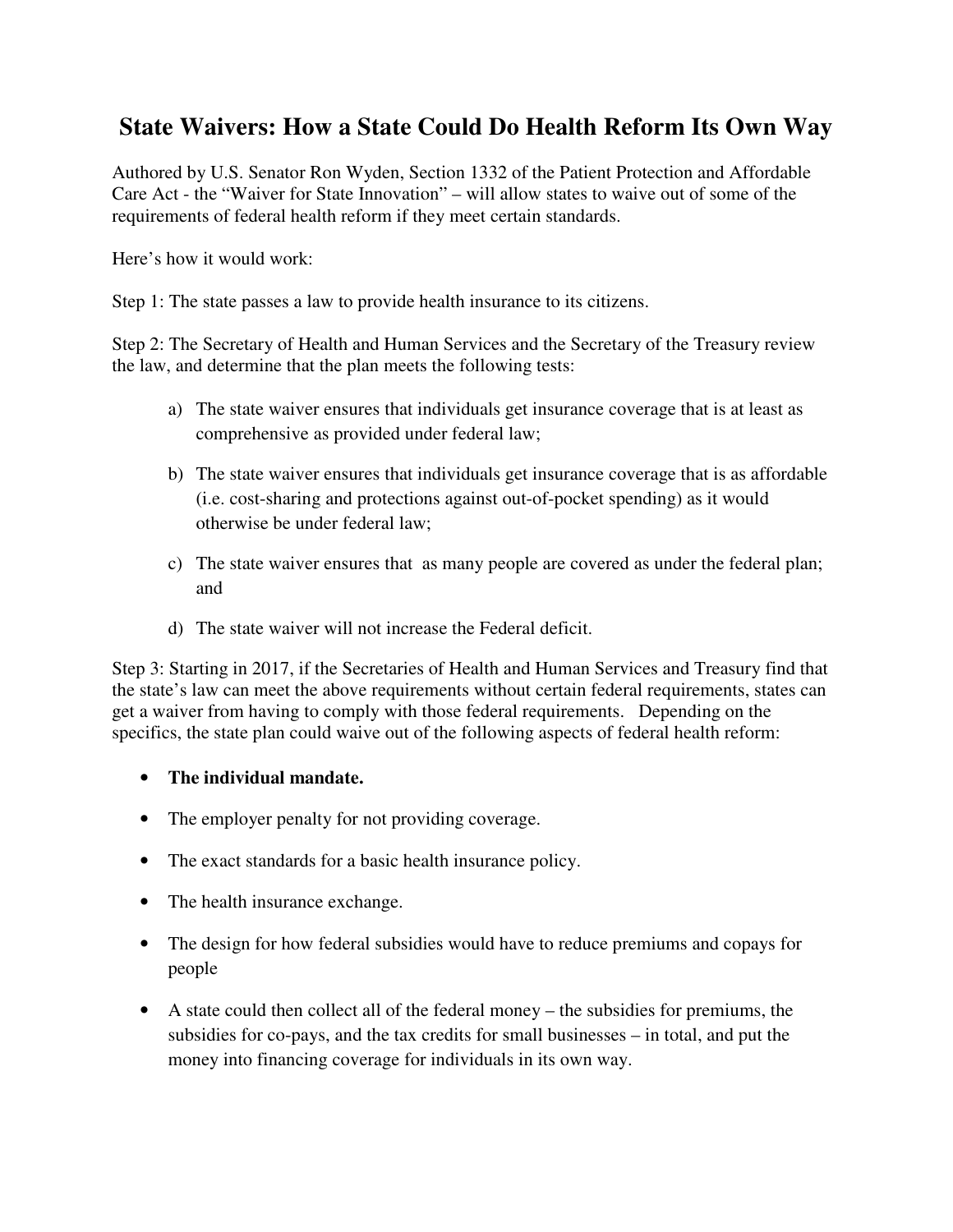## **State Waivers: How a State Could Do Health Reform Its Own Way**

Authored by U.S. Senator Ron Wyden, Section 1332 of the Patient Protection and Affordable Care Act - the "Waiver for State Innovation" – will allow states to waive out of some of the requirements of federal health reform if they meet certain standards.

Here's how it would work:

Step 1: The state passes a law to provide health insurance to its citizens.

Step 2: The Secretary of Health and Human Services and the Secretary of the Treasury review the law, and determine that the plan meets the following tests:

- a) The state waiver ensures that individuals get insurance coverage that is at least as comprehensive as provided under federal law;
- b) The state waiver ensures that individuals get insurance coverage that is as affordable (i.e. cost-sharing and protections against out-of-pocket spending) as it would otherwise be under federal law;
- c) The state waiver ensures that as many people are covered as under the federal plan; and
- d) The state waiver will not increase the Federal deficit.

Step 3: Starting in 2017, if the Secretaries of Health and Human Services and Treasury find that the state's law can meet the above requirements without certain federal requirements, states can get a waiver from having to comply with those federal requirements. Depending on the specifics, the state plan could waive out of the following aspects of federal health reform:

## • **The individual mandate.**

- The employer penalty for not providing coverage.
- The exact standards for a basic health insurance policy.
- The health insurance exchange.
- The design for how federal subsidies would have to reduce premiums and copays for people
- A state could then collect all of the federal money the subsidies for premiums, the subsidies for co-pays, and the tax credits for small businesses – in total, and put the money into financing coverage for individuals in its own way.